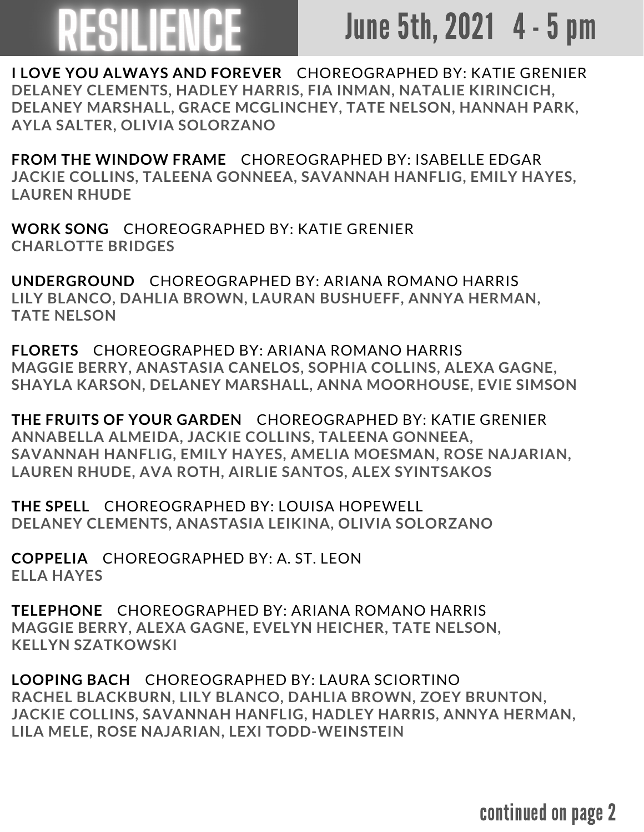## June 5th, 2021 4 - 5 pm

**I LOVE YOU ALWAYS AND FOREVER** CHOREOGRAPHED BY: KATIE GRENIER **DELANEY CLEMENTS, HADLEY HARRIS, FIA INMAN, NATALIE KIRINCICH, DELANEY MARSHALL, GRACE MCGLINCHEY, TATE NELSON, HANNAH PARK, AYLA SALTER, OLIVIA SOLORZANO**

**FROM THE WINDOW FRAME** CHOREOGRAPHED BY: ISABELLE EDGAR **JACKIE COLLINS, TALEENA GONNEEA, SAVANNAH HANFLIG, EMILY HAYES, LAUREN RHUDE**

**WORK SONG** CHOREOGRAPHED BY: KATIE GRENIER **CHARLOTTE BRIDGES**

**UNDERGROUND** CHOREOGRAPHED BY: ARIANA ROMANO HARRIS **LILY BLANCO, DAHLIA BROWN, LAURAN BUSHUEFF, ANNYA HERMAN, TATE NELSON**

**FLORETS** CHOREOGRAPHED BY: ARIANA ROMANO HARRIS **MAGGIE BERRY, ANASTASIA CANELOS, SOPHIA COLLINS, ALEXA GAGNE, SHAYLA KARSON, DELANEY MARSHALL, ANNA MOORHOUSE, EVIE SIMSON**

**THE FRUITS OF YOUR GARDEN** CHOREOGRAPHED BY: KATIE GRENIER **ANNABELLA ALMEIDA, JACKIE COLLINS, TALEENA GONNEEA, SAVANNAH HANFLIG, EMILY HAYES, AMELIA MOESMAN, ROSE NAJARIAN, LAUREN RHUDE, AVA ROTH, AIRLIE SANTOS, ALEX SYINTSAKOS**

**THE SPELL** CHOREOGRAPHED BY: LOUISA HOPEWELL **DELANEY CLEMENTS, ANASTASIA LEIKINA, OLIVIA SOLORZANO**

**COPPELIA** CHOREOGRAPHED BY: A. ST. LEON **ELLA HAYES**

**TELEPHONE** CHOREOGRAPHED BY: ARIANA ROMANO HARRIS **MAGGIE BERRY, ALEXA GAGNE, EVELYN HEICHER, TATE NELSON, KELLYN SZATKOWSKI**

**LOOPING BACH** CHOREOGRAPHED BY: LAURA SCIORTINO **RACHEL BLACKBURN, LILY BLANCO, DAHLIA BROWN, ZOEY BRUNTON, JACKIE COLLINS, SAVANNAH HANFLIG, HADLEY HARRIS, ANNYA HERMAN, LILA MELE, ROSE NAJARIAN, LEXI TODD-WEINSTEIN**

continued on page 2